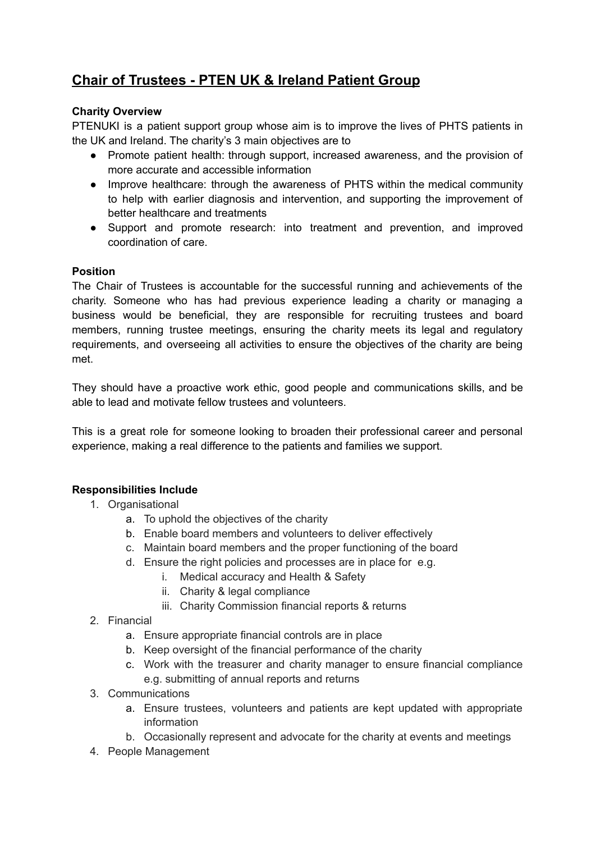# **Chair of Trustees - PTEN UK & Ireland Patient Group**

## **Charity Overview**

PTENUKI is a patient support group whose aim is to improve the lives of PHTS patients in the UK and Ireland. The charity's 3 main objectives are to

- Promote patient health: through support, increased awareness, and the provision of more accurate and accessible information
- Improve healthcare: through the awareness of PHTS within the medical community to help with earlier diagnosis and intervention, and supporting the improvement of better healthcare and treatments
- Support and promote research: into treatment and prevention, and improved coordination of care.

## **Position**

The Chair of Trustees is accountable for the successful running and achievements of the charity. Someone who has had previous experience leading a charity or managing a business would be beneficial, they are responsible for recruiting trustees and board members, running trustee meetings, ensuring the charity meets its legal and regulatory requirements, and overseeing all activities to ensure the objectives of the charity are being met.

They should have a proactive work ethic, good people and communications skills, and be able to lead and motivate fellow trustees and volunteers.

This is a great role for someone looking to broaden their professional career and personal experience, making a real difference to the patients and families we support.

# **Responsibilities Include**

- 1. Organisational
	- a. To uphold the objectives of the charity
	- b. Enable board members and volunteers to deliver effectively
	- c. Maintain board members and the proper functioning of the board
	- d. Ensure the right policies and processes are in place for e.g.
		- i. Medical accuracy and Health & Safety
		- ii. Charity & legal compliance
		- iii. Charity Commission financial reports & returns
- 2. Financial
	- a. Ensure appropriate financial controls are in place
	- b. Keep oversight of the financial performance of the charity
	- c. Work with the treasurer and charity manager to ensure financial compliance e.g. submitting of annual reports and returns
- 3. Communications
	- a. Ensure trustees, volunteers and patients are kept updated with appropriate information
	- b. Occasionally represent and advocate for the charity at events and meetings
- 4. People Management